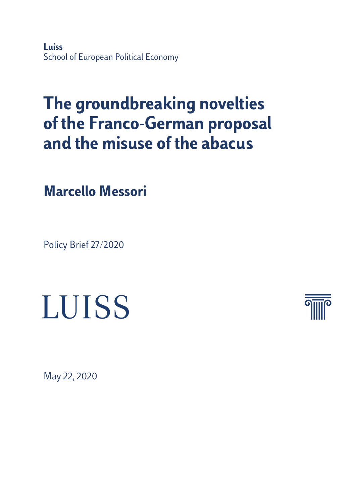**Luiss** School of European Political Economy

# **The groundbreaking novelties of the Franco-German proposal and the misuse of the abacus**

**Marcello Messori**

Policy Brief 27/2020





May 22, 2020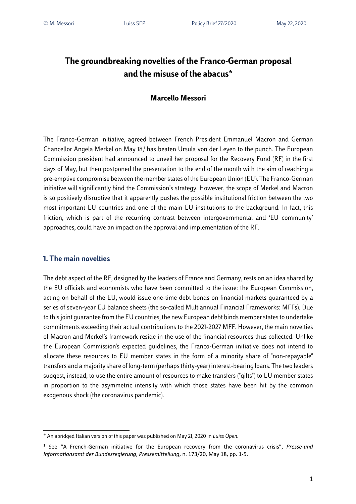## **The groundbreaking novelties of the Franco-German proposal and the misuse of the abacus\***

### **Marcello Messori**

The Franco-German initiative, agreed between French President Emmanuel Macron and German Chancellor Angela Merkel on May 18,<sup>1</sup> has beaten Ursula von der Leyen to the punch. The European Commission president had announced to unveil her proposal for the Recovery Fund (RF) in the first days of May, but then postponed the presentation to the end of the month with the aim of reaching a pre-emptive compromise between the member states of the European Union (EU). The Franco-German initiative will significantly bind the Commission's strategy. However, the scope of Merkel and Macron is so positively disruptive that it apparently pushes the possible institutional friction between the two most important EU countries and one of the main EU institutions to the background. In fact, this friction, which is part of the recurring contrast between intergovernmental and 'EU community' approaches, could have an impact on the approval and implementation of the RF.

#### **1. The main novelties**

The debt aspect of the RF, designed by the leaders of France and Germany, rests on an idea shared by the EU officials and economists who have been committed to the issue: the European Commission, acting on behalf of the EU, would issue one-time debt bonds on financial markets guaranteed by a series of seven-year EU balance sheets (the so-called Multiannual Financial Frameworks: MFFs). Due to thisjoint guarantee from the EU countries, the new European debt binds member states to undertake commitments exceeding their actual contributions to the 2021-2027 MFF. However, the main novelties of Macron and Merkel's framework reside in the use of the financial resources thus collected. Unlike the European Commission's expected guidelines, the Franco-German initiative does not intend to allocate these resources to EU member states in the form of a minority share of "non-repayable" transfers and a majority share of long-term (perhaps thirty-year) interest-bearing loans. The two leaders suggest, instead, to use the entire amount of resources to make transfers ("gifts") to EU member states in proportion to the asymmetric intensity with which those states have been hit by the common exogenous shock (the coronavirus pandemic).

<sup>\*</sup> An abridged Italian version of this paper was published on May 21, 2020 in *Luiss Open.*

<sup>1</sup> See "A French-German initiative for the European recovery from the coronavirus crisis", *Presse-und Informationsamt der Bundesregierung*, *Pressemitteilung*, n. 173/20, May 18, pp. 1-5.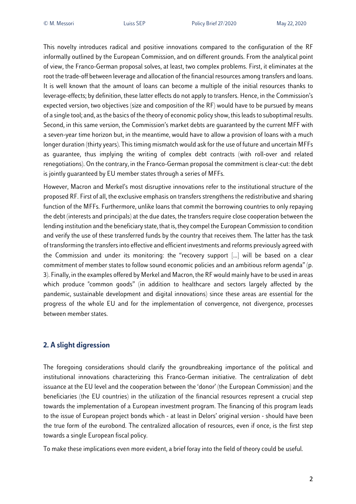This novelty introduces radical and positive innovations compared to the configuration of the RF informally outlined by the European Commission, and on different grounds. From the analytical point of view, the Franco-German proposal solves, at least, two complex problems. First, it eliminates at the root the trade-off between leverage and allocation of the financial resources among transfers and loans. It is well known that the amount of loans can become a multiple of the initial resources thanks to leverage-effects; by definition, these latter effects do not apply to transfers. Hence, in the Commission's expected version, two objectives (size and composition of the RF) would have to be pursued by means of a single tool; and, as the basics of the theory of economic policy show, this leads to suboptimal results. Second, in this same version, the Commission's market debts are guaranteed by the current MFF with a seven-year time horizon but, in the meantime, would have to allow a provision of loans with a much longer duration (thirty years). This timing mismatch would ask for the use of future and uncertain MFFs as guarantee, thus implying the writing of complex debt contracts (with roll-over and related renegotiations). On the contrary, in the Franco-German proposal the commitment is clear-cut: the debt is jointly guaranteed by EU member states through a series of MFFs.

However, Macron and Merkel's most disruptive innovations refer to the institutional structure of the proposed RF. First of all, the exclusive emphasis on transfers strengthensthe redistributive and sharing function of the MFFs. Furthermore, unlike loans that commit the borrowing countries to only repaying the debt (interests and principals) at the due dates, the transfers require close cooperation between the lending institution and the beneficiary state, that is, they compel the European Commission to condition and verify the use of these transferred funds by the country that receives them. The latter has the task of transforming the transfersinto effective and efficient investments and reforms previously agreed with the Commission and under its monitoring: the "recovery support […] will be based on a clear commitment of member states to follow sound economic policies and an ambitious reform agenda" (p. 3). Finally, in the examples offered by Merkel and Macron, the RF would mainly have to be used in areas which produce "common goods" (in addition to healthcare and sectors largely affected by the pandemic, sustainable development and digital innovations) since these areas are essential for the progress of the whole EU and for the implementation of convergence, not divergence, processes between member states.

#### **2. A slight digression**

The foregoing considerations should clarify the groundbreaking importance of the political and institutional innovations characterizing this Franco-German initiative. The centralization of debt issuance at the EU level and the cooperation between the 'donor' (the European Commission) and the beneficiaries (the EU countries) in the utilization of the financial resources represent a crucial step towards the implementation of a European investment program. The financing of this program leads to the issue of European project bonds which - at least in Delors' original version - should have been the true form of the eurobond. The centralized allocation of resources, even if once, is the first step towards a single European fiscal policy.

To make these implications even more evident, a brief foray into the field of theory could be useful.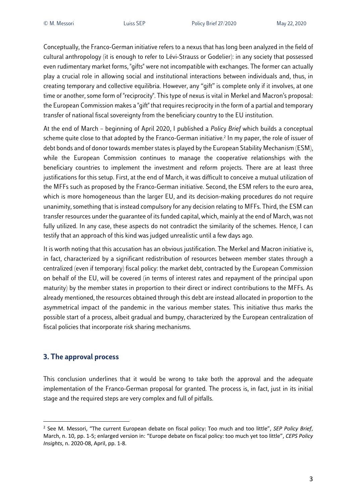Conceptually, the Franco-German initiative refers to a nexus that has long been analyzed in the field of cultural anthropology (it is enough to refer to Lévi-Strauss or Godelier): in any society that possessed even rudimentary market forms, "gifts" were not incompatible with exchanges. The former can actually play a crucial role in allowing social and institutional interactions between individuals and, thus, in creating temporary and collective equilibria. However, any "gift" is complete only if it involves, at one time or another, some form of "reciprocity". This type of nexus is vital in Merkel and Macron's proposal: the European Commission makes a "gift" that requires reciprocity in the form of a partial and temporary transfer of national fiscal sovereignty from the beneficiary country to the EU institution.

At the end of March – beginning of April 2020, I published a *Policy Brief* which builds a conceptual scheme quite close to that adopted by the Franco-German initiative. <sup>2</sup> In my paper, the role of issuer of debt bonds and of donor towards member states is played by the European Stability Mechanism (ESM), while the European Commission continues to manage the cooperative relationships with the beneficiary countries to implement the investment and reform projects. There are at least three justifications for this setup. First, at the end of March, it was difficult to conceive a mutual utilization of the MFFs such as proposed by the Franco-German initiative. Second, the ESM refers to the euro area, which is more homogeneous than the larger EU, and its decision-making procedures do not require unanimity, something that is instead compulsory for any decision relating to MFFs. Third, the ESM can transfer resources under the guarantee of its funded capital, which, mainly at the end of March, was not fully utilized. In any case, these aspects do not contradict the similarity of the schemes. Hence, I can testify that an approach of this kind was judged unrealistic until a few days ago.

It is worth noting that this accusation has an obvious justification. The Merkel and Macron initiative is, in fact, characterized by a significant redistribution of resources between member states through a centralized (even if temporary) fiscal policy: the market debt, contracted by the European Commission on behalf of the EU, will be covered (in terms of interest rates and repayment of the principal upon maturity) by the member states in proportion to their direct or indirect contributions to the MFFs. As already mentioned, the resources obtained through this debt are instead allocated in proportion to the asymmetrical impact of the pandemic in the various member states. This initiative thus marks the possible start of a process, albeit gradual and bumpy, characterized by the European centralization of fiscal policies that incorporate risk sharing mechanisms.

#### **3. The approval process**

This conclusion underlines that it would be wrong to take both the approval and the adequate implementation of the Franco-German proposal for granted. The process is, in fact, just in its initial stage and the required steps are very complex and full of pitfalls.

<sup>2</sup> See M. Messori, "The current European debate on fiscal policy: Too much and too little", *SEP Policy Brief*, March, n. 10, pp. 1-5; enlarged version in: "Europe debate on fiscal policy: too much yet too little", *CEPS Policy Insights*, n. 2020-08, April, pp. 1-8.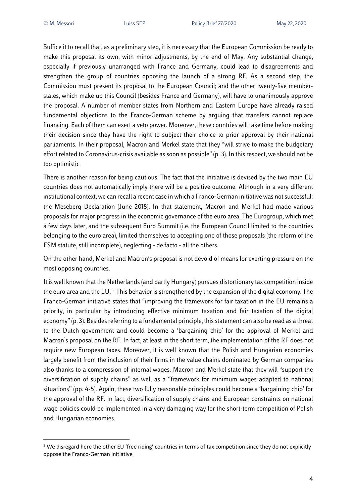Suffice it to recall that, as a preliminary step, it is necessary that the European Commission be ready to make this proposal its own, with minor adjustments, by the end of May. Any substantial change, especially if previously unarranged with France and Germany, could lead to disagreements and strengthen the group of countries opposing the launch of a strong RF. As a second step, the Commission must present its proposal to the European Council; and the other twenty-five memberstates, which make up this Council (besides France and Germany), will have to unanimously approve the proposal. A number of member states from Northern and Eastern Europe have already raised fundamental objections to the Franco-German scheme by arguing that transfers cannot replace financing. Each of them can exert a veto power. Moreover, these countries will take time before making their decision since they have the right to subject their choice to prior approval by their national parliaments. In their proposal, Macron and Merkel state that they "will strive to make the budgetary effort related to Coronavirus-crisis available as soon as possible" (p. 3). In this respect, we should not be too optimistic.

There is another reason for being cautious. The fact that the initiative is devised by the two main EU countries does not automatically imply there will be a positive outcome. Although in a very different institutional context, we can recall a recent case in which a Franco-German initiative was not successful: the Meseberg Declaration (June 2018). In that statement, Macron and Merkel had made various proposals for major progress in the economic governance of the euro area. The Eurogroup, which met a few days later, and the subsequent Euro Summit (i.e. the European Council limited to the countries belonging to the euro area), limited themselves to accepting one of those proposals (the reform of the ESM statute, still incomplete), neglecting - de facto - all the others.

On the other hand, Merkel and Macron's proposal is not devoid of means for exerting pressure on the most opposing countries.

It is well known that the Netherlands (and partly Hungary) pursues distortionary tax competition inside the euro area and the EU.<sup>3</sup> This behavior is strengthened by the expansion of the digital economy. The Franco-German initiative states that "improving the framework for fair taxation in the EU remains a priority, in particular by introducing effective minimum taxation and fair taxation of the digital economy" (p. 3). Besides referring to a fundamental principle, this statement can also be read as a threat to the Dutch government and could become a 'bargaining chip' for the approval of Merkel and Macron's proposal on the RF. In fact, at least in the short term, the implementation of the RF does not require new European taxes. Moreover, it is well known that the Polish and Hungarian economies largely benefit from the inclusion of their firms in the value chains dominated by German companies also thanks to a compression of internal wages. Macron and Merkel state that they will "support the diversification of supply chains" as well as a "framework for minimum wages adapted to national situations" (pp. 4-5). Again, these two fully reasonable principles could become a 'bargaining chip' for the approval of the RF. In fact, diversification of supply chains and European constraints on national wage policies could be implemented in a very damaging way for the short-term competition of Polish and Hungarian economies.

<sup>&</sup>lt;sup>3</sup> We disregard here the other EU 'free riding' countries in terms of tax competition since they do not explicitly oppose the Franco-German initiative